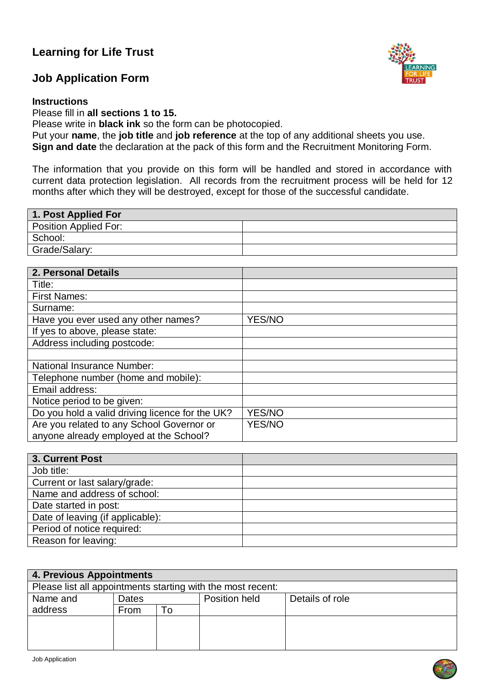# **Learning for Life Trust**

# **Job Application Form**

#### **Instructions**

Please fill in **all sections 1 to 15.**

Please write in **black ink** so the form can be photocopied.

Put your **name**, the **job title** and **job reference** at the top of any additional sheets you use. **Sign and date** the declaration at the pack of this form and the Recruitment Monitoring Form.

The information that you provide on this form will be handled and stored in accordance with current data protection legislation. All records from the recruitment process will be held for 12

months after which they will be destroyed, except for those of the successful candidate.

| 1. Post Applied For   |  |
|-----------------------|--|
| Position Applied For: |  |
| School:               |  |
| Grade/Salary:         |  |
|                       |  |

| 2. Personal Details                             |               |
|-------------------------------------------------|---------------|
| Title:                                          |               |
| <b>First Names:</b>                             |               |
| Surname:                                        |               |
| Have you ever used any other names?             | <b>YES/NO</b> |
| If yes to above, please state:                  |               |
| Address including postcode:                     |               |
|                                                 |               |
| National Insurance Number:                      |               |
| Telephone number (home and mobile):             |               |
| Email address:                                  |               |
| Notice period to be given:                      |               |
| Do you hold a valid driving licence for the UK? | <b>YES/NO</b> |
| Are you related to any School Governor or       | <b>YES/NO</b> |
| anyone already employed at the School?          |               |

| 3. Current Post                  |  |
|----------------------------------|--|
| Job title:                       |  |
| Current or last salary/grade:    |  |
| Name and address of school:      |  |
| Date started in post:            |  |
| Date of leaving (if applicable): |  |
| Period of notice required:       |  |
| Reason for leaving:              |  |

| 4. Previous Appointments                                    |              |    |               |                 |
|-------------------------------------------------------------|--------------|----|---------------|-----------------|
| Please list all appointments starting with the most recent: |              |    |               |                 |
| Name and                                                    | <b>Dates</b> |    | Position held | Details of role |
| address                                                     | From         | To |               |                 |
|                                                             |              |    |               |                 |
|                                                             |              |    |               |                 |
|                                                             |              |    |               |                 |



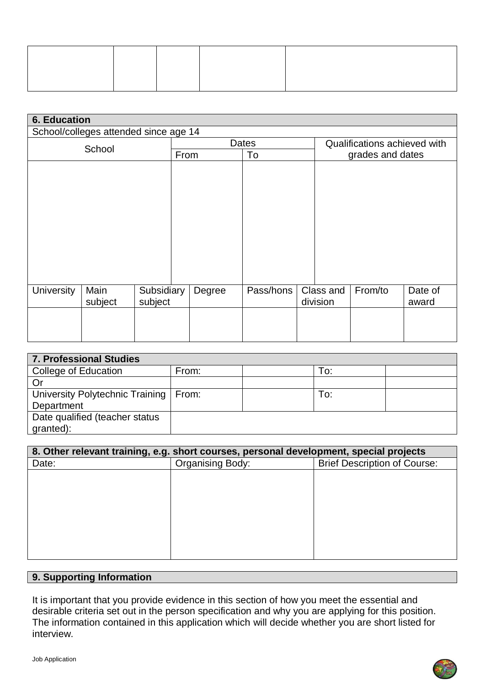| <b>6. Education</b> |                                       |            |       |        |           |                              |           |         |         |
|---------------------|---------------------------------------|------------|-------|--------|-----------|------------------------------|-----------|---------|---------|
|                     | School/colleges attended since age 14 |            |       |        |           |                              |           |         |         |
| School              |                                       |            | Dates |        |           | Qualifications achieved with |           |         |         |
|                     |                                       |            | From  |        | To        | grades and dates             |           |         |         |
|                     |                                       |            |       |        |           |                              |           |         |         |
|                     |                                       |            |       |        |           |                              |           |         |         |
|                     |                                       |            |       |        |           |                              |           |         |         |
|                     |                                       |            |       |        |           |                              |           |         |         |
|                     |                                       |            |       |        |           |                              |           |         |         |
|                     |                                       |            |       |        |           |                              |           |         |         |
|                     |                                       |            |       |        |           |                              |           |         |         |
|                     |                                       |            |       |        |           |                              |           |         |         |
|                     |                                       |            |       |        |           |                              |           |         |         |
|                     |                                       |            |       |        |           |                              |           |         |         |
|                     |                                       |            |       |        |           |                              |           |         |         |
| <b>University</b>   | Main                                  | Subsidiary |       | Degree | Pass/hons |                              | Class and | From/to | Date of |
|                     | subject                               | subject    |       |        |           |                              | division  |         | award   |
|                     |                                       |            |       |        |           |                              |           |         |         |
|                     |                                       |            |       |        |           |                              |           |         |         |
|                     |                                       |            |       |        |           |                              |           |         |         |
|                     |                                       |            |       |        |           |                              |           |         |         |

| <b>7. Professional Studies</b>          |       |     |  |
|-----------------------------------------|-------|-----|--|
| College of Education                    | From: | Гo: |  |
| Or                                      |       |     |  |
| University Polytechnic Training   From: |       | To: |  |
| Department                              |       |     |  |
| Date qualified (teacher status          |       |     |  |
| granted):                               |       |     |  |

| 8. Other relevant training, e.g. short courses, personal development, special projects |                                                                |  |  |  |
|----------------------------------------------------------------------------------------|----------------------------------------------------------------|--|--|--|
| Date:                                                                                  | <b>Organising Body:</b><br><b>Brief Description of Course:</b> |  |  |  |
|                                                                                        |                                                                |  |  |  |
|                                                                                        |                                                                |  |  |  |
|                                                                                        |                                                                |  |  |  |
|                                                                                        |                                                                |  |  |  |
|                                                                                        |                                                                |  |  |  |
|                                                                                        |                                                                |  |  |  |
|                                                                                        |                                                                |  |  |  |
|                                                                                        |                                                                |  |  |  |

# **9. Supporting Information**

It is important that you provide evidence in this section of how you meet the essential and desirable criteria set out in the person specification and why you are applying for this position. The information contained in this application which will decide whether you are short listed for interview.

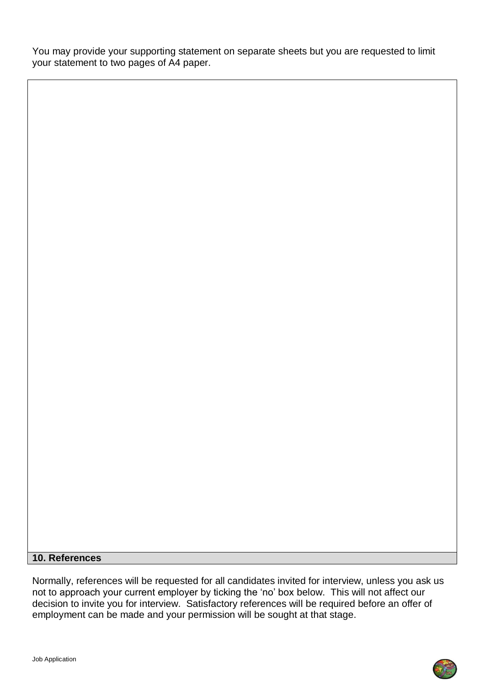You may provide your supporting statement on separate sheets but you are requested to limit your statement to two pages of A4 paper.

## **10. References**

Normally, references will be requested for all candidates invited for interview, unless you ask us not to approach your current employer by ticking the 'no' box below. This will not affect our decision to invite you for interview. Satisfactory references will be required before an offer of employment can be made and your permission will be sought at that stage.

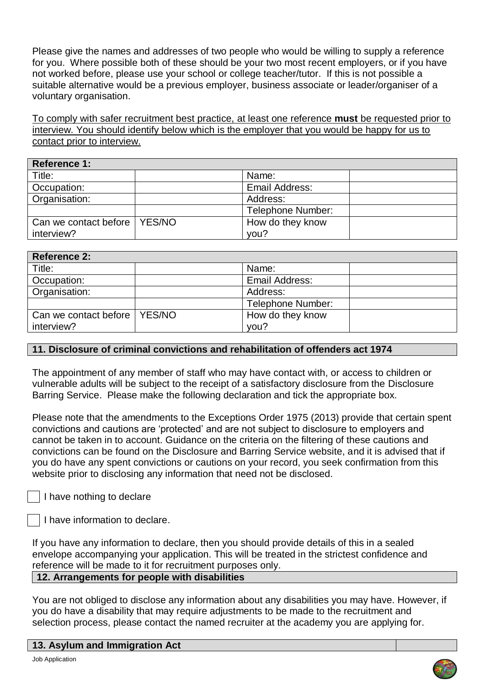Please give the names and addresses of two people who would be willing to supply a reference for you. Where possible both of these should be your two most recent employers, or if you have not worked before, please use your school or college teacher/tutor. If this is not possible a suitable alternative would be a previous employer, business associate or leader/organiser of a voluntary organisation.

To comply with safer recruitment best practice, at least one reference **must** be requested prior to interview. You should identify below which is the employer that you would be happy for us to contact prior to interview.

| Reference 1:          |          |                       |  |
|-----------------------|----------|-----------------------|--|
| Title:                |          | Name:                 |  |
| Occupation:           |          | <b>Email Address:</b> |  |
| Organisation:         |          | Address:              |  |
|                       |          | Telephone Number:     |  |
| Can we contact before | l YES/NO | How do they know      |  |
| interview?            |          | you?                  |  |

| Reference 2:                   |                          |
|--------------------------------|--------------------------|
| Title:                         | Name:                    |
| Occupation:                    | Email Address:           |
| Organisation:                  | Address:                 |
|                                | <b>Telephone Number:</b> |
| Can we contact before   YES/NO | How do they know         |
| interview?                     | you?                     |

## **11. Disclosure of criminal convictions and rehabilitation of offenders act 1974**

The appointment of any member of staff who may have contact with, or access to children or vulnerable adults will be subject to the receipt of a satisfactory disclosure from the Disclosure Barring Service. Please make the following declaration and tick the appropriate box.

Please note that the amendments to the Exceptions Order 1975 (2013) provide that certain spent convictions and cautions are 'protected' and are not subject to disclosure to employers and cannot be taken in to account. Guidance on the criteria on the filtering of these cautions and convictions can be found on the Disclosure and Barring Service website, and it is advised that if you do have any spent convictions or cautions on your record, you seek confirmation from this website prior to disclosing any information that need not be disclosed.

I have nothing to declare

I have information to declare.

If you have any information to declare, then you should provide details of this in a sealed envelope accompanying your application. This will be treated in the strictest confidence and reference will be made to it for recruitment purposes only.

## **12. Arrangements for people with disabilities**

You are not obliged to disclose any information about any disabilities you may have. However, if you do have a disability that may require adjustments to be made to the recruitment and selection process, please contact the named recruiter at the academy you are applying for.

#### **13. Asylum and Immigration Act**

Job Application

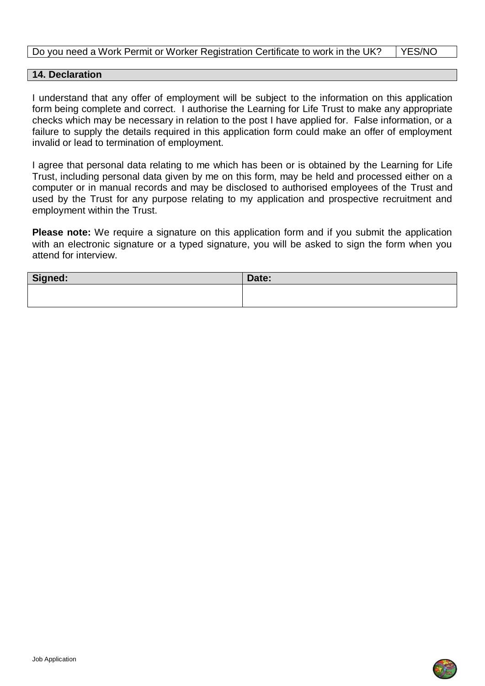## Do you need a Work Permit or Worker Registration Certificate to work in the UK? | YES/NO

#### **14. Declaration**

I understand that any offer of employment will be subject to the information on this application form being complete and correct. I authorise the Learning for Life Trust to make any appropriate checks which may be necessary in relation to the post I have applied for. False information, or a failure to supply the details required in this application form could make an offer of employment invalid or lead to termination of employment.

I agree that personal data relating to me which has been or is obtained by the Learning for Life Trust, including personal data given by me on this form, may be held and processed either on a computer or in manual records and may be disclosed to authorised employees of the Trust and used by the Trust for any purpose relating to my application and prospective recruitment and employment within the Trust.

**Please note:** We require a signature on this application form and if you submit the application with an electronic signature or a typed signature, you will be asked to sign the form when you attend for interview.

| Signed: | Date: |
|---------|-------|
|         |       |
|         |       |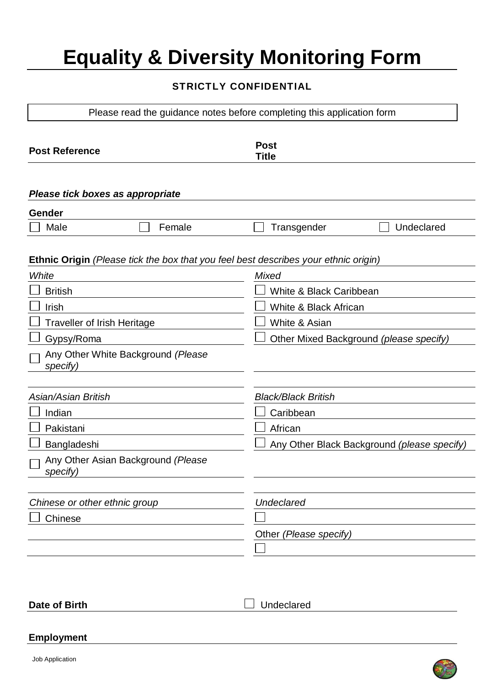# **Equality & Diversity Monitoring Form**

## **STRICTLY CONFIDENTIAL**

Please read the guidance notes before completing this application form

| <b>Post Reference</b>                                                               | <b>Post</b><br><b>Title</b>                 |
|-------------------------------------------------------------------------------------|---------------------------------------------|
| Please tick boxes as appropriate                                                    |                                             |
| Gender                                                                              |                                             |
| Male<br>Female                                                                      | Transgender<br>Undeclared                   |
| Ethnic Origin (Please tick the box that you feel best describes your ethnic origin) |                                             |
| White                                                                               | Mixed                                       |
| <b>British</b>                                                                      | White & Black Caribbean                     |
| Irish                                                                               | White & Black African                       |
| <b>Traveller of Irish Heritage</b>                                                  | White & Asian                               |
| Gypsy/Roma                                                                          | Other Mixed Background (please specify)     |
| Any Other White Background (Please<br>specify)                                      |                                             |
| Asian/Asian British                                                                 | <b>Black/Black British</b>                  |
| Indian                                                                              | Caribbean                                   |
| Pakistani                                                                           | African                                     |
| Bangladeshi                                                                         | Any Other Black Background (please specify) |
| Any Other Asian Background (Please<br>specify)                                      |                                             |
| Chinese or other ethnic group                                                       | <b>Undeclared</b>                           |
| Chinese                                                                             |                                             |
|                                                                                     | Other (Please specify)                      |
|                                                                                     |                                             |
|                                                                                     |                                             |

**Date of Birth** Internal Undeclared

#### **Employment**